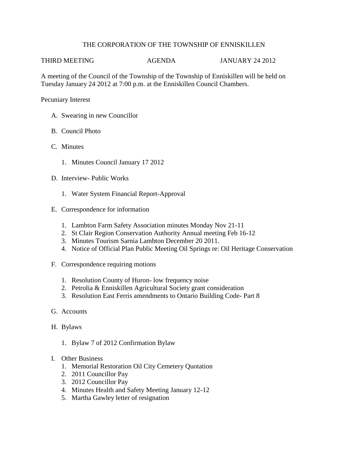## THE CORPORATION OF THE TOWNSHIP OF ENNISKILLEN

THIRD MEETING AGENDA JANUARY 24 2012

A meeting of the Council of the Township of the Township of Enniskillen will be held on Tuesday January 24 2012 at 7:00 p.m. at the Enniskillen Council Chambers.

Pecuniary Interest

- A. Swearing in new Councillor
- B. Council Photo
- C. Minutes
	- 1. Minutes Council January 17 2012
- D. Interview- Public Works
	- 1. Water System Financial Report-Approval
- E. Correspondence for information
	- 1. Lambton Farm Safety Association minutes Monday Nov 21-11
	- 2. St Clair Region Conservation Authority Annual meeting Feb 16-12
	- 3. Minutes Tourism Sarnia Lambton December 20 2011.
	- 4. Notice of Official Plan Public Meeting Oil Springs re: Oil Heritage Conservation
- F. Correspondence requiring motions
	- 1. Resolution County of Huron- low frequency noise
	- 2. Petrolia & Enniskillen Agricultural Society grant consideration
	- 3. Resolution East Ferris amendments to Ontario Building Code- Part 8
- G. Accounts
- H. Bylaws
	- 1. Bylaw 7 of 2012 Confirmation Bylaw
- I. Other Business
	- 1. Memorial Restoration Oil City Cemetery Quotation
	- 2. 2011 Councillor Pay
	- 3. 2012 Councillor Pay
	- 4. Minutes Health and Safety Meeting January 12-12
	- 5. Martha Gawley letter of resignation